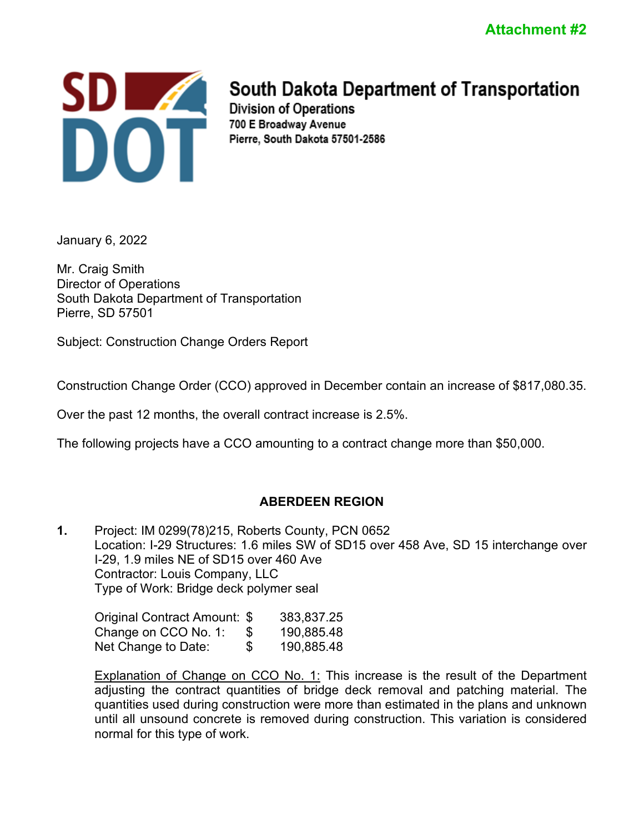

# South Dakota Department of Transportation

Division of Operations 700 E Broadway Avenue Pierre, South Dakota 57501-2586

January 6, 2022

Mr. Craig Smith Director of Operations South Dakota Department of Transportation Pierre, SD 57501

Subject: Construction Change Orders Report

Construction Change Order (CCO) approved in December contain an increase of \$817,080.35.

Over the past 12 months, the overall contract increase is 2.5%.

The following projects have a CCO amounting to a contract change more than \$50,000.

# **ABERDEEN REGION**

**1.** Project: IM 0299(78)215, Roberts County, PCN 0652 Location: I-29 Structures: 1.6 miles SW of SD15 over 458 Ave, SD 15 interchange over I-29, 1.9 miles NE of SD15 over 460 Ave Contractor: Louis Company, LLC Type of Work: Bridge deck polymer seal

Original Contract Amount: \$ 383,837.25 Change on CCO No. 1: \$ 190,885.48 Net Change to Date:  $$ 190,885.48$ 

Explanation of Change on CCO No. 1: This increase is the result of the Department adjusting the contract quantities of bridge deck removal and patching material. The quantities used during construction were more than estimated in the plans and unknown until all unsound concrete is removed during construction. This variation is considered normal for this type of work.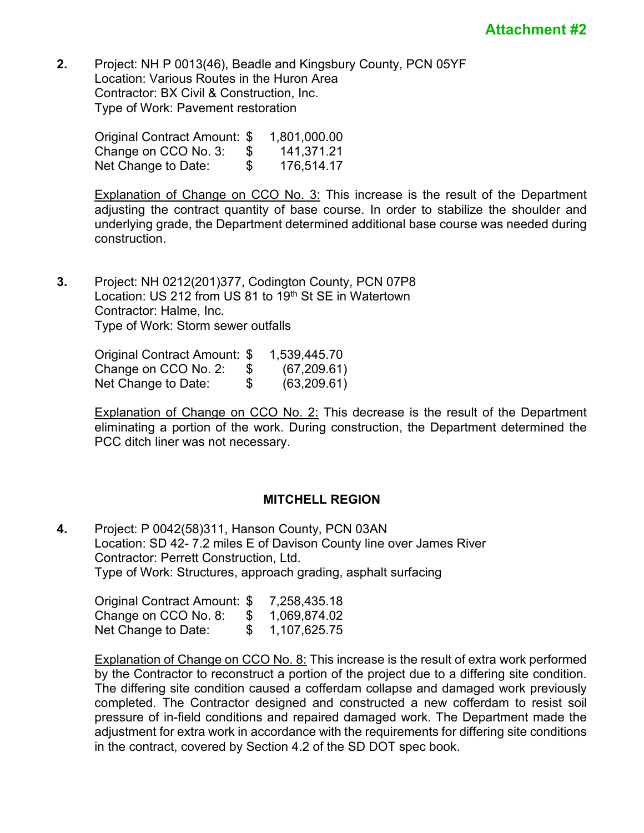**2.** Project: NH P 0013(46), Beadle and Kingsbury County, PCN 05YF Location: Various Routes in the Huron Area Contractor: BX Civil & Construction, Inc. Type of Work: Pavement restoration

| Original Contract Amount: \$ |    | 1,801,000.00 |
|------------------------------|----|--------------|
| Change on CCO No. 3:         | £. | 141.371.21   |
| Net Change to Date:          | \$ | 176.514.17   |

**Explanation of Change on CCO No. 3:** This increase is the result of the Department adjusting the contract quantity of base course. In order to stabilize the shoulder and underlying grade, the Department determined additional base course was needed during construction.

**3.** Project: NH 0212(201)377, Codington County, PCN 07P8 Location: US 212 from US 81 to 19th St SE in Watertown Contractor: Halme, Inc. Type of Work: Storm sewer outfalls

> Original Contract Amount: \$ 1,539,445.70 Change on CCO No. 2: \$ (67,209.61)<br>Net Change to Date: \$ (63.209.61) Net Change to Date: \$ (63,209.61)

Explanation of Change on CCO No. 2: This decrease is the result of the Department eliminating a portion of the work. During construction, the Department determined the PCC ditch liner was not necessary.

#### **MITCHELL REGION**

**4.** Project: P 0042(58)311, Hanson County, PCN 03AN Location: SD 42- 7.2 miles E of Davison County line over James River Contractor: Perrett Construction, Ltd. Type of Work: Structures, approach grading, asphalt surfacing

| Original Contract Amount: \$ |      | 7,258,435.18 |
|------------------------------|------|--------------|
| Change on CCO No. 8:         | -SS- | 1,069,874.02 |
| Net Change to Date:          |      | 1,107,625.75 |

Explanation of Change on CCO No. 8: This increase is the result of extra work performed by the Contractor to reconstruct a portion of the project due to a differing site condition. The differing site condition caused a cofferdam collapse and damaged work previously completed. The Contractor designed and constructed a new cofferdam to resist soil pressure of in-field conditions and repaired damaged work. The Department made the adjustment for extra work in accordance with the requirements for differing site conditions in the contract, covered by Section 4.2 of the SD DOT spec book.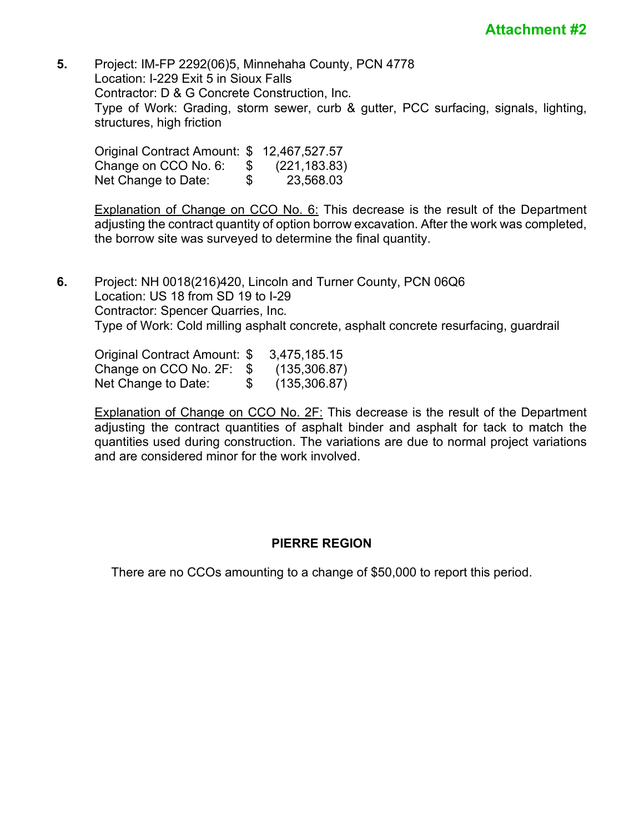**5.** Project: IM-FP 2292(06)5, Minnehaha County, PCN 4778 Location: I-229 Exit 5 in Sioux Falls Contractor: D & G Concrete Construction, Inc. Type of Work: Grading, storm sewer, curb & gutter, PCC surfacing, signals, lighting, structures, high friction

| Original Contract Amount: \$ 12,467,527.57 |    |               |
|--------------------------------------------|----|---------------|
| Change on CCO No. 6:                       | S. | (221, 183.83) |
| Net Change to Date:                        | \$ | 23,568.03     |

Explanation of Change on CCO No. 6: This decrease is the result of the Department adjusting the contract quantity of option borrow excavation. After the work was completed, the borrow site was surveyed to determine the final quantity.

**6.** Project: NH 0018(216)420, Lincoln and Turner County, PCN 06Q6 Location: US 18 from SD 19 to I-29 Contractor: Spencer Quarries, Inc. Type of Work: Cold milling asphalt concrete, asphalt concrete resurfacing, guardrail

Original Contract Amount: \$ 3,475,185.15 Change on CCO No. 2F:  $$$  (135,306.87)<br>Net Change to Date:  $$$  (135.306.87) Net Change to Date: \$ (135,306.87)

Explanation of Change on CCO No. 2F: This decrease is the result of the Department adjusting the contract quantities of asphalt binder and asphalt for tack to match the quantities used during construction. The variations are due to normal project variations and are considered minor for the work involved.

## **PIERRE REGION**

There are no CCOs amounting to a change of \$50,000 to report this period.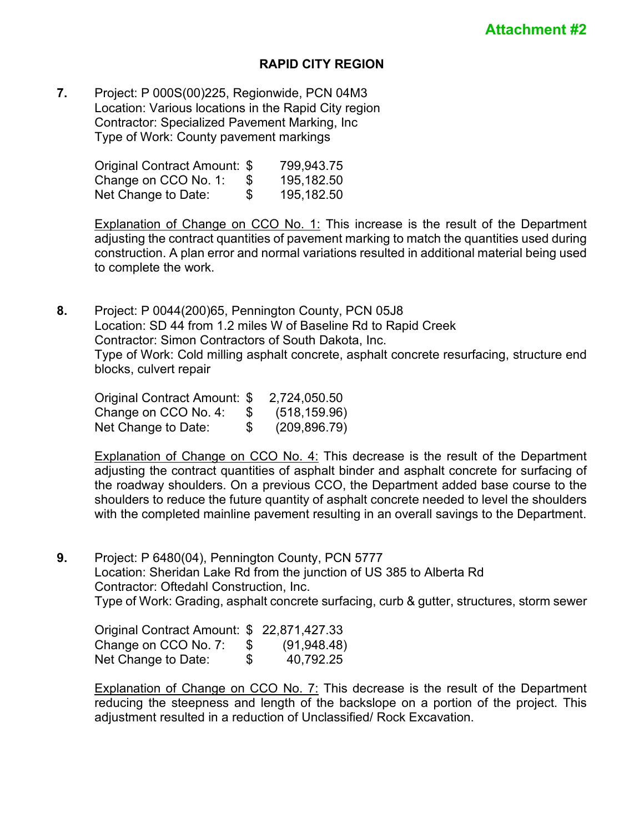## **RAPID CITY REGION**

**7.** Project: P 000S(00)225, Regionwide, PCN 04M3 Location: Various locations in the Rapid City region Contractor: Specialized Pavement Marking, Inc Type of Work: County pavement markings

| Original Contract Amount: \$ | 799,943.75       |
|------------------------------|------------------|
| Change on CCO No. 1:         | \$<br>195,182.50 |
| Net Change to Date:          | \$<br>195,182.50 |

Explanation of Change on CCO No. 1: This increase is the result of the Department adjusting the contract quantities of pavement marking to match the quantities used during construction. A plan error and normal variations resulted in additional material being used to complete the work.

**8.** Project: P 0044(200)65, Pennington County, PCN 05J8 Location: SD 44 from 1.2 miles W of Baseline Rd to Rapid Creek Contractor: Simon Contractors of South Dakota, Inc. Type of Work: Cold milling asphalt concrete, asphalt concrete resurfacing, structure end blocks, culvert repair

| Original Contract Amount: \$ |           | 2,724,050.50  |
|------------------------------|-----------|---------------|
| Change on CCO No. 4:         | <u>ან</u> | (518, 159.96) |
| Net Change to Date:          | S.        | (209, 896.79) |

Explanation of Change on CCO No. 4: This decrease is the result of the Department adjusting the contract quantities of asphalt binder and asphalt concrete for surfacing of the roadway shoulders. On a previous CCO, the Department added base course to the shoulders to reduce the future quantity of asphalt concrete needed to level the shoulders with the completed mainline pavement resulting in an overall savings to the Department.

**9.** Project: P 6480(04), Pennington County, PCN 5777 Location: Sheridan Lake Rd from the junction of US 385 to Alberta Rd Contractor: Oftedahl Construction, Inc. Type of Work: Grading, asphalt concrete surfacing, curb & gutter, structures, storm sewer

Original Contract Amount: \$ 22,871,427.33 Change on CCO No. 7: \$ (91,948.48)<br>Net Change to Date: \$ 40.792.25 Net Change to Date: \$ 40,792.25

Explanation of Change on CCO No. 7: This decrease is the result of the Department reducing the steepness and length of the backslope on a portion of the project. This adjustment resulted in a reduction of Unclassified/ Rock Excavation.